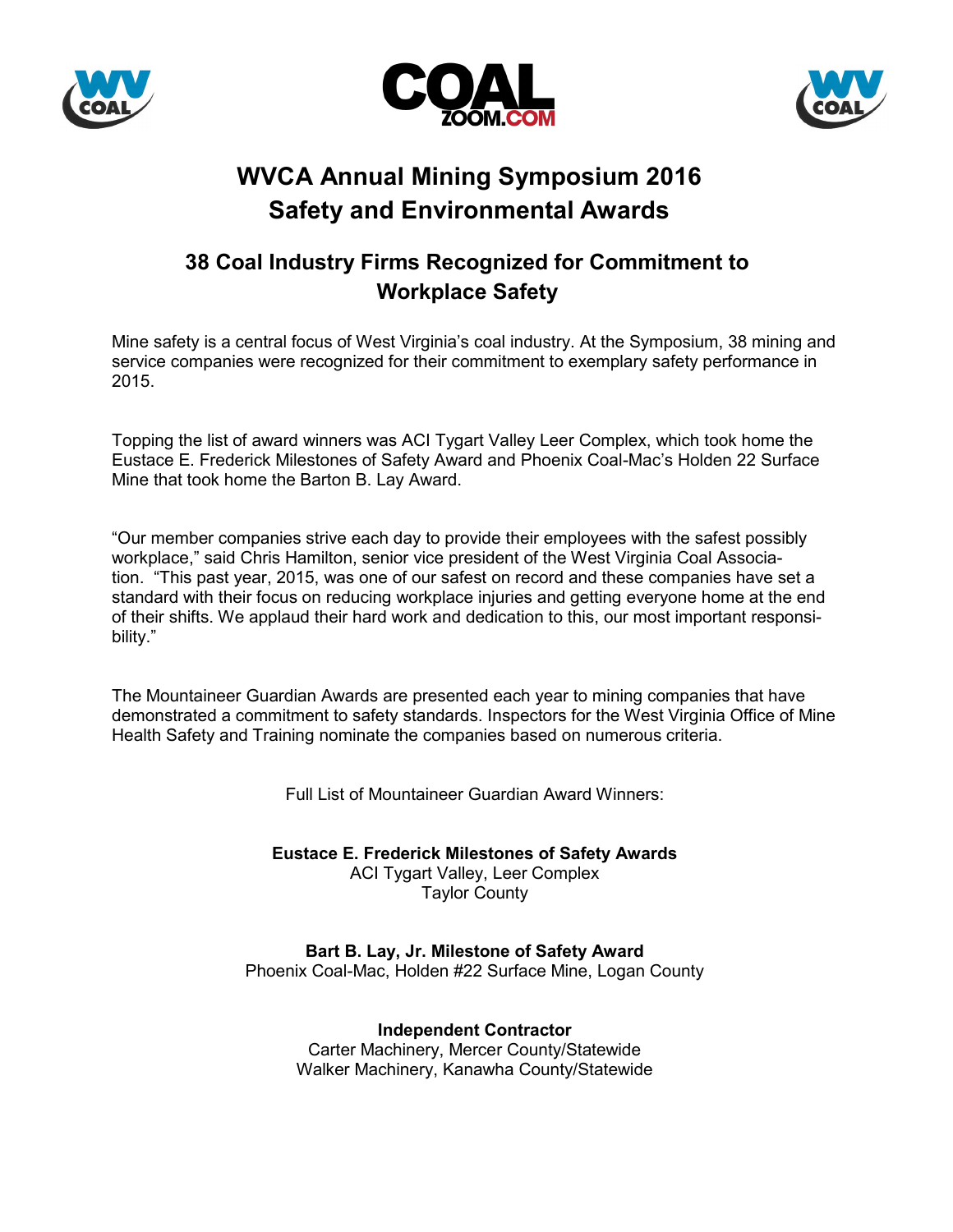





# **WVCA Annual Mining Symposium 2016 Safety and Environmental Awards**

## **38 Coal Industry Firms Recognized for Commitment to Workplace Safety**

Mine safety is a central focus of West Virginia's coal industry. At the Symposium, 38 mining and service companies were recognized for their commitment to exemplary safety performance in 2015.

Topping the list of award winners was ACI Tygart Valley Leer Complex, which took home the Eustace E. Frederick Milestones of Safety Award and Phoenix Coal-Mac's Holden 22 Surface Mine that took home the Barton B. Lay Award.

"Our member companies strive each day to provide their employees with the safest possibly workplace," said Chris Hamilton, senior vice president of the West Virginia Coal Association. "This past year, 2015, was one of our safest on record and these companies have set a standard with their focus on reducing workplace injuries and getting everyone home at the end of their shifts. We applaud their hard work and dedication to this, our most important responsibility."

The Mountaineer Guardian Awards are presented each year to mining companies that have demonstrated a commitment to safety standards. Inspectors for the West Virginia Office of Mine Health Safety and Training nominate the companies based on numerous criteria.

Full List of Mountaineer Guardian Award Winners:

**Eustace E. Frederick Milestones of Safety Awards** ACI Tygart Valley, Leer Complex Taylor County

**Bart B. Lay, Jr. Milestone of Safety Award** Phoenix Coal-Mac, Holden #22 Surface Mine, Logan County

> **Independent Contractor** Carter Machinery, Mercer County/Statewide Walker Machinery, Kanawha County/Statewide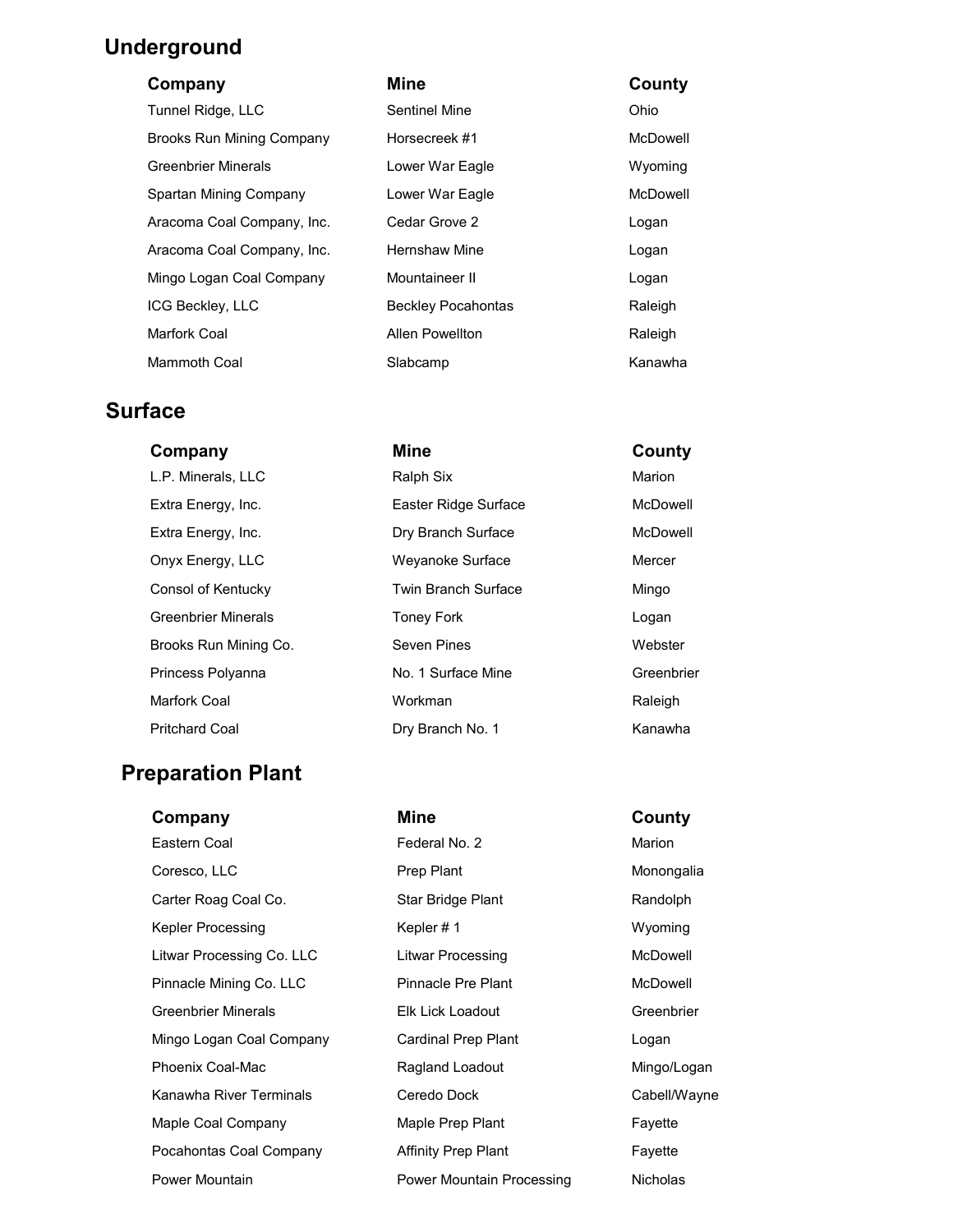## **Underground**

#### **Company Mine County**

| Tunnel Ridge, LLC          | Sentinel Mine             | Ohio     |
|----------------------------|---------------------------|----------|
| Brooks Run Mining Company  | Horsecreek #1             | McDowell |
| <b>Greenbrier Minerals</b> | Lower War Eagle           | Wyoming  |
| Spartan Mining Company     | Lower War Eagle           | McDowell |
| Aracoma Coal Company, Inc. | Cedar Grove 2             | Logan    |
| Aracoma Coal Company, Inc. | <b>Hernshaw Mine</b>      | Logan    |
| Mingo Logan Coal Company   | Mountaineer II            | Logan    |
| <b>ICG Beckley, LLC</b>    | <b>Beckley Pocahontas</b> | Raleigh  |
| Marfork Coal               | Allen Powellton           | Raleigh  |
| <b>Mammoth Coal</b>        | Slabcamp                  | Kanawha  |

#### **Surface**

| L.P. Minerals, LLC         | Kaipn Six                  | Marion    |
|----------------------------|----------------------------|-----------|
| Extra Energy, Inc.         | Easter Ridge Surface       | McDowel   |
| Extra Energy, Inc.         | Dry Branch Surface         | McDowel   |
| Onyx Energy, LLC           | Weyanoke Surface           | Mercer    |
| Consol of Kentucky         | <b>Twin Branch Surface</b> | Mingo     |
| <b>Greenbrier Minerals</b> | <b>Toney Fork</b>          | Logan     |
| Brooks Run Mining Co.      | Seven Pines                | Webster   |
| Princess Polyanna          | No. 1 Surface Mine         | Greenbrie |
| Marfork Coal               | Workman                    | Raleigh   |
| <b>Pritchard Coal</b>      | Dry Branch No. 1           | Kanawha   |

### **Preparation Plant**

**Company Mine County** Eastern Coal **Federal No. 2** Marion Coresco, LLC **Prep Plant** Prep Plant Monongalia Carter Roag Coal Co. Star Bridge Plant Randolph Kepler Processing The Repler # 1 Wyoming Litwar Processing Co. LLC Litwar Processing Co. LLC Litwar Processing McDowell Pinnacle Mining Co. LLC Pinnacle Pre Plant McDowell Greenbrier Minerals Elk Lick Loadout Greenbrier Mingo Logan Coal Company Cardinal Prep Plant Containst Logan Phoenix Coal-Mac **Ragland Loadout** Ragland Loadout Mingo/Logan Kanawha River Terminals **Ceredo Dock** Cabell/Wayne Maple Coal Company **Maple Prep Plant** Fayette Pocahontas Coal Company **Affinity Prep Plant** Fayette

# **Company Mine County** L.P. Minerals, LLC Books, Ralph Six Marion Marion Extra Energy, Inc. Easter Ridge Surface McDowell

| Extra Energy, Inc.         | Easter Ridge Surface       | McDowell   |
|----------------------------|----------------------------|------------|
| Extra Energy, Inc.         | Dry Branch Surface         | McDowell   |
| Onyx Energy, LLC           | Weyanoke Surface           | Mercer     |
| Consol of Kentucky         | <b>Twin Branch Surface</b> | Mingo      |
| <b>Greenbrier Minerals</b> | <b>Toney Fork</b>          | Logan      |
| Brooks Run Mining Co.      | Seven Pines                | Webster    |
| Princess Polyanna          | No. 1 Surface Mine         | Greenbrier |
| Marfork Coal               | Workman                    | Raleigh    |
| Pritchard Coal             | Dry Branch No. 1           | Kanawha    |

Power Mountain **Power Mountain Processing** Nicholas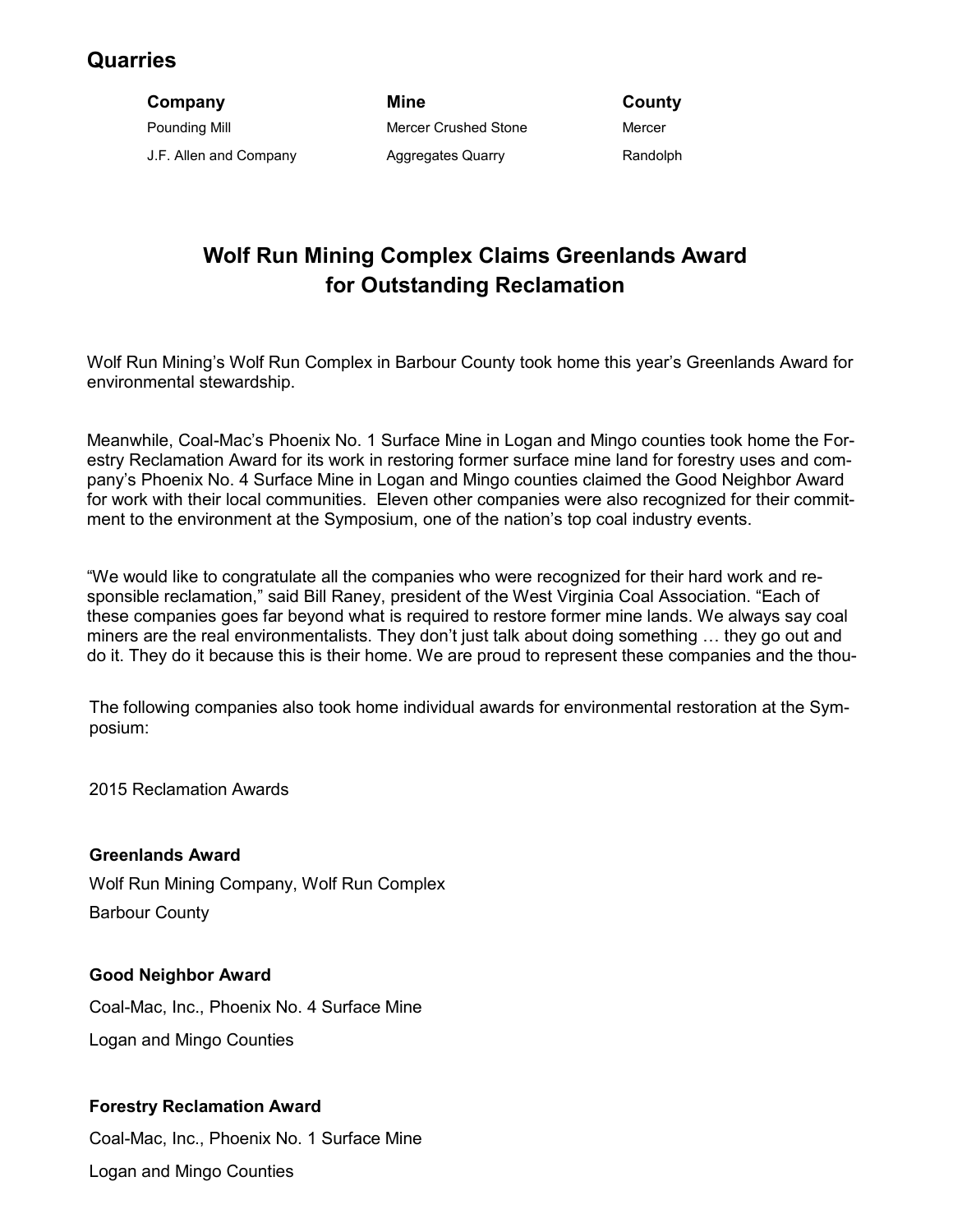## **Quarries**

**Company Mine County** Pounding Mill **Mercer Crushed Stone** Mercer Crushed Stone J.F. Allen and Company **Aggregates Quarry Company** Aggregates Quarry Randolph

# **Wolf Run Mining Complex Claims Greenlands Award for Outstanding Reclamation**

Wolf Run Mining's Wolf Run Complex in Barbour County took home this year's Greenlands Award for environmental stewardship.

Meanwhile, Coal-Mac's Phoenix No. 1 Surface Mine in Logan and Mingo counties took home the Forestry Reclamation Award for its work in restoring former surface mine land for forestry uses and company's Phoenix No. 4 Surface Mine in Logan and Mingo counties claimed the Good Neighbor Award for work with their local communities. Eleven other companies were also recognized for their commitment to the environment at the Symposium, one of the nation's top coal industry events.

"We would like to congratulate all the companies who were recognized for their hard work and responsible reclamation," said Bill Raney, president of the West Virginia Coal Association. "Each of these companies goes far beyond what is required to restore former mine lands. We always say coal miners are the real environmentalists. They don't just talk about doing something … they go out and do it. They do it because this is their home. We are proud to represent these companies and the thou-

The following companies also took home individual awards for environmental restoration at the Symposium:

2015 Reclamation Awards

**Greenlands Award**

Wolf Run Mining Company, Wolf Run Complex Barbour County

#### **Good Neighbor Award**

Coal-Mac, Inc., Phoenix No. 4 Surface Mine Logan and Mingo Counties

#### **Forestry Reclamation Award**

Coal-Mac, Inc., Phoenix No. 1 Surface Mine Logan and Mingo Counties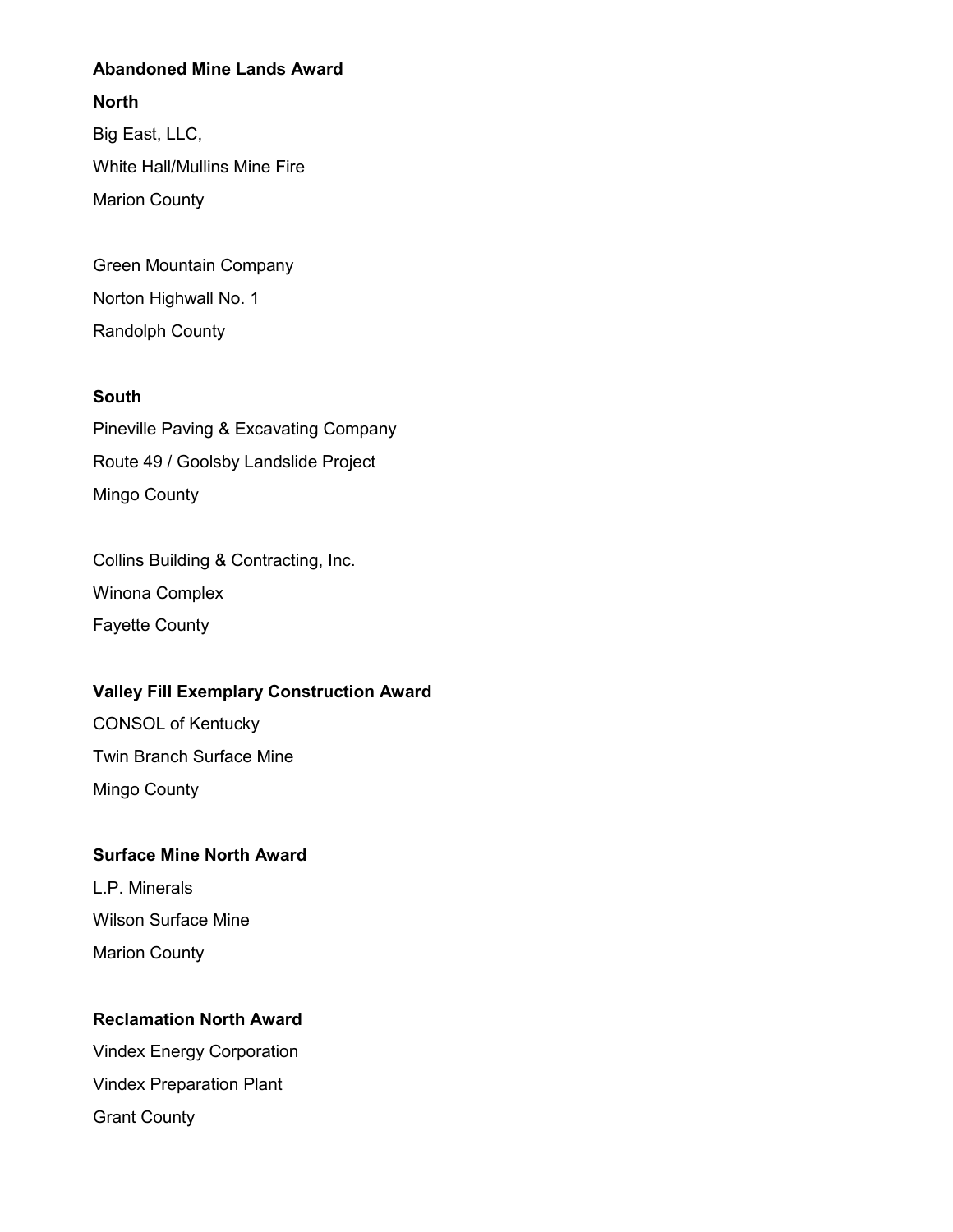#### **Abandoned Mine Lands Award**

#### **North**

Big East, LLC, White Hall/Mullins Mine Fire Marion County

Green Mountain Company Norton Highwall No. 1 Randolph County

#### **South**

Pineville Paving & Excavating Company Route 49 / Goolsby Landslide Project Mingo County

Collins Building & Contracting, Inc. Winona Complex Fayette County

#### **Valley Fill Exemplary Construction Award**

CONSOL of Kentucky Twin Branch Surface Mine Mingo County

#### **Surface Mine North Award**

L.P. Minerals Wilson Surface Mine Marion County

#### **Reclamation North Award**

Vindex Energy Corporation Vindex Preparation Plant Grant County